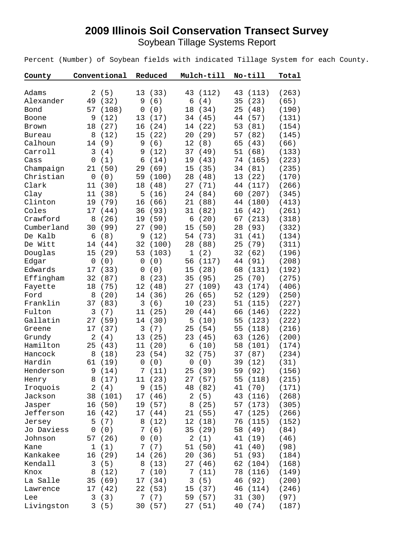## **2009 Illinois Soil Conservation Transect Survey** Soybean Tillage Systems Report

Percent (Number) of Soybean fields with indicated Tillage System for each County.

| County        | Conventional       | Reduced            | Mulch-till         | No-till     | Total |
|---------------|--------------------|--------------------|--------------------|-------------|-------|
|               |                    |                    |                    |             |       |
| Adams         | (5)<br>2           | 13<br>(33)         | 43<br>(112)        | 43<br>(113) | (263) |
| Alexander     | (32)<br>49         | (6)<br>9           | 6<br>(4)           | (23)<br>35  | (65)  |
| Bond          | 57<br>(108)        | (0)<br>0           | (34)<br>18         | (48)<br>25  | (190) |
| Boone         | 9<br>(12)          | (17)<br>13         | 34<br>(45)         | 44<br>(57)  | (131) |
| Brown         | (27)<br>18         | 16<br>(24)         | (22)<br>14         | 53<br>(81)  | (154) |
| <b>Bureau</b> | 8<br>(12)          | 15<br>(22)         | 20<br>(29)         | (82)<br>57  | (145) |
| Calhoun       | (9)<br>14          | (6)<br>9           | (8)<br>12          | 65<br>(43)  | (66)  |
| Carroll       | (4)<br>3           | (12)<br>9          | 37<br>(49)         | 51<br>(68)  | (133) |
| Cass          | (1)<br>$\mathbf 0$ | 6<br>(14)          | 19<br>(43)         | 74<br>(165) | (223) |
| Champaign     | (50)<br>21         | (69)<br>29         | (35)<br>15         | (81)<br>34  | (235) |
| Christian     | (0)<br>$\mathbf 0$ | 59<br>(100)        | 28<br>(48)         | (22)<br>13  | (170) |
| Clark         | 11<br>(30)         | (48)<br>18         | 27<br>(71)         | (117)<br>44 | (266) |
| Clay          | (38)<br>11         | (16)<br>5          | 24<br>(84)         | 60<br>(207) | (345) |
| Clinton       | (79)<br>19         | 16<br>(66)         | 21<br>(88)         | (180)<br>44 | (413) |
| Coles         | (44)<br>17         | (93)<br>36         | (82)<br>31         | 16<br>(42)  | (261) |
| Crawford      | 8<br>(26)          | 19<br>(59)         | 6<br>(20)          | (213)<br>67 | (318) |
| Cumberland    | 30<br>(99)         | 27<br>(90)         | 15<br>(50)         | (93)<br>28  | (332) |
| De Kalb       | (8)<br>6           | (12)<br>9          | 54<br>(73)         | 31<br>(41)  | (134) |
| De Witt       | 14<br>(44)         | 32<br>(100)        | 28<br>(88)         | (79)<br>25  | (311) |
| Douglas       | 15<br>(29)         | 53<br>(103)        | $\mathbf 1$<br>(2) | 32<br>(62)  | (196) |
| Edgar         | $\mathbf 0$<br>(0) | (0)<br>0           | 56<br>(117)        | 44<br>(91)  | (208) |
| Edwards       | (33)<br>17         | (0)<br>0           | (28)<br>15         | (131)<br>68 | (192) |
| Effingham     | 32<br>(87)         | (23)<br>8          | 35<br>(95)         | (70)<br>25  | (275) |
| Fayette       | 18<br>(75)         | 12<br>(48)         | (109)<br>27        | 43<br>(174) | (406) |
| Ford          | (20)<br>8          | (36)<br>14         | (65)<br>26         | 52<br>(129) | (250) |
| Franklin      | (83)<br>37         | 3<br>(6)           | (23)<br>10         | 51<br>(115) | (227) |
| Fulton        | 3<br>(7)           | 11<br>(25)         | (44)<br>20         | 66<br>(146) | (222) |
| Gallatin      | (59)<br>27         | (30)<br>14         | 5<br>(10)          | (123)<br>55 | (222) |
| Greene        | (37)<br>17         | 3<br>(7)           | (54)<br>25         | 55<br>(118) | (216) |
| Grundy        | (4)<br>2           | 13<br>(25)         | 23<br>(45)         | (126)<br>63 | (200) |
| Hamilton      | 25<br>(43)         | 11<br>(20)         | 6<br>(10)          | 58<br>(101) | (174) |
| Hancock       | 8<br>(18)          | 23<br>(54)         | 32<br>(75)         | (87)<br>37  | (234) |
| Hardin        | 61<br>(19)         | $\mathbf 0$<br>(0) | 0<br>(0)           | 39<br>(12)  | (31)  |
| Henderson     | 9<br>(14)          | 7<br>(11)          | 25<br>(39)         | (92)<br>59  | (156) |
| Henry         | (17)<br>8          | 11<br>(23)         | 27 (57)            | (118)<br>55 | (215) |
| Iroquois      | 2<br>(4)           | (15)<br>9          | (82)<br>48         | (70)<br>41  | (171) |
| Jackson       | 38<br>(101)        | (46)<br>17         | (5)<br>2           | (116)<br>43 | (268) |
| Jasper        | (50)<br>16         | (57)<br>19         | (25)<br>8          | (173)<br>57 | (305) |
| Jefferson     | 16<br>(42)         | 17<br>(44)         | (55)<br>21         | 47<br>(125) | (266) |
| Jersey        | (7)<br>5           | (12)<br>8          | 12<br>(18)         | 76<br>(115) | (152) |
| Jo Daviess    | (0)<br>0           | (6)<br>7           | 35<br>(29)         | 58<br>(49)  | (84)  |
| Johnson       | 57<br>(26)         | (0)<br>0           | $\sqrt{2}$<br>(1)  | 41<br>(19)  | (46)  |
| Kane          | (1)<br>1           | (7)<br>7           | 51<br>(50)         | 41<br>(40)  | (98)  |
| Kankakee      | 16<br>(29)         | (26)<br>14         | 20<br>(36)         | 51<br>(93)  | (184) |
| Kendall       | 3<br>(5)           | 8<br>(13)          | 27<br>(46)         | 62<br>(104) | (168) |
| Knox          | 8<br>(12)          | 7<br>(10)          | 7<br>(11)          | 78<br>(116) | (149) |
| La Salle      | 35<br>(69)         | $17$<br>(34)       | 3<br>(5)           | 46<br>(92)  | (200) |
| Lawrence      | 17<br>(42)         | (53)<br>22         | (37)<br>15         | 46 (114)    | (246) |
| Lee           | (3)<br>3           | (7)<br>7           | 59<br>(57)         | (30)<br>31  | (97)  |
| Livingston    | 3(5)               | 30<br>(57)         | 27<br>(51)         | 40<br>(74)  | (187) |